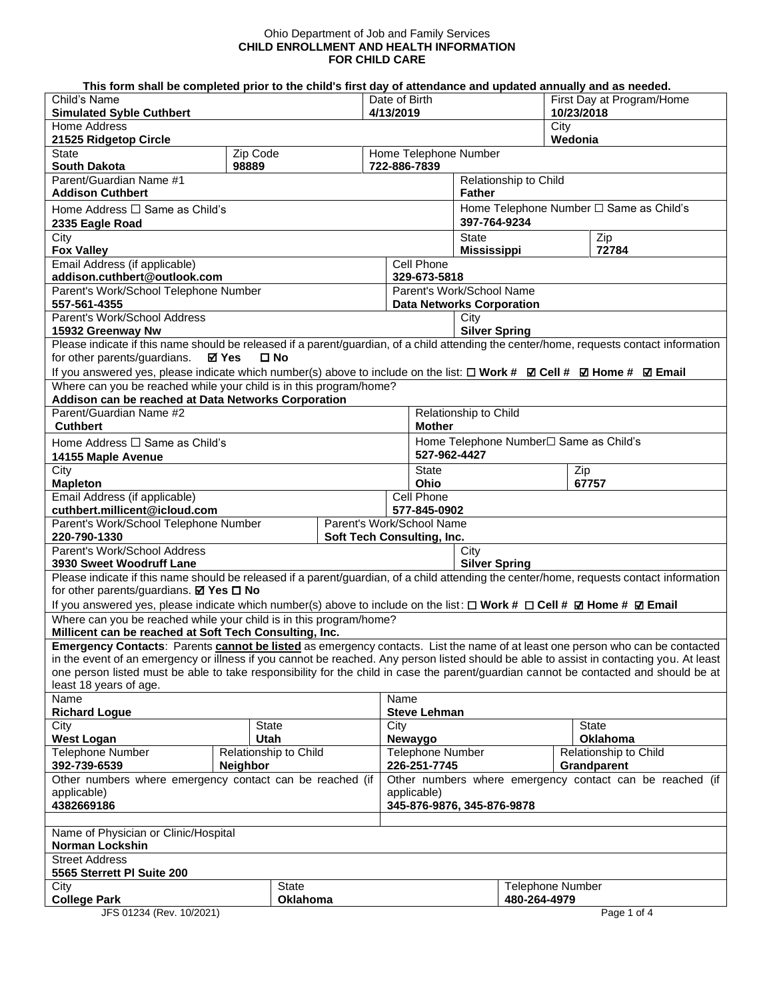## Ohio Department of Job and Family Services **CHILD ENROLLMENT AND HEALTH INFORMATION FOR CHILD CARE**

## **This form shall be completed prior to the child's first day of attendance and updated annually and as needed.**

| Child's Name<br><b>Simulated Syble Cuthbert</b>                                                                                                                                                                 |                                          |  | Date of Birth<br>4/13/2019                               |                                                         | First Day at Program/Home<br>10/23/2018 |                                      |  |
|-----------------------------------------------------------------------------------------------------------------------------------------------------------------------------------------------------------------|------------------------------------------|--|----------------------------------------------------------|---------------------------------------------------------|-----------------------------------------|--------------------------------------|--|
| Home Address<br>21525 Ridgetop Circle                                                                                                                                                                           |                                          |  |                                                          | City<br>Wedonia                                         |                                         |                                      |  |
| <b>State</b><br><b>South Dakota</b>                                                                                                                                                                             | Zip Code<br>98889                        |  | Home Telephone Number                                    |                                                         |                                         |                                      |  |
| Parent/Guardian Name #1                                                                                                                                                                                         |                                          |  | 722-886-7839                                             | Relationship to Child                                   |                                         |                                      |  |
| <b>Addison Cuthbert</b>                                                                                                                                                                                         |                                          |  |                                                          | <b>Father</b>                                           |                                         |                                      |  |
| Home Address $\Box$ Same as Child's<br>2335 Eagle Road                                                                                                                                                          |                                          |  |                                                          | Home Telephone Number □ Same as Child's<br>397-764-9234 |                                         |                                      |  |
| City<br><b>Fox Valley</b>                                                                                                                                                                                       |                                          |  |                                                          | <b>State</b><br><b>Mississippi</b>                      |                                         | Zip<br>72784                         |  |
| Email Address (if applicable)<br>addison.cuthbert@outlook.com                                                                                                                                                   |                                          |  | Cell Phone                                               | 329-673-5818                                            |                                         |                                      |  |
| Parent's Work/School Telephone Number                                                                                                                                                                           |                                          |  |                                                          | Parent's Work/School Name                               |                                         |                                      |  |
| 557-561-4355<br>Parent's Work/School Address                                                                                                                                                                    |                                          |  |                                                          | <b>Data Networks Corporation</b>                        |                                         |                                      |  |
| 15932 Greenway Nw                                                                                                                                                                                               |                                          |  |                                                          | City<br><b>Silver Spring</b>                            |                                         |                                      |  |
| Please indicate if this name should be released if a parent/guardian, of a child attending the center/home, requests contact information                                                                        |                                          |  |                                                          |                                                         |                                         |                                      |  |
| for other parents/guardians.                                                                                                                                                                                    | $\square$ No<br>⊠ Yes                    |  |                                                          |                                                         |                                         |                                      |  |
| If you answered yes, please indicate which number(s) above to include on the list: $\Box$ Work # $\Box$ Cell # $\Box$ Home # $\Box$ Email<br>Where can you be reached while your child is in this program/home? |                                          |  |                                                          |                                                         |                                         |                                      |  |
| Addison can be reached at Data Networks Corporation                                                                                                                                                             |                                          |  |                                                          |                                                         |                                         |                                      |  |
| Parent/Guardian Name #2<br><b>Cuthbert</b>                                                                                                                                                                      |                                          |  |                                                          | Relationship to Child                                   |                                         |                                      |  |
| Home Address $\Box$ Same as Child's                                                                                                                                                                             |                                          |  |                                                          | <b>Mother</b><br>Home Telephone Number□ Same as Child's |                                         |                                      |  |
| 14155 Maple Avenue                                                                                                                                                                                              |                                          |  |                                                          | 527-962-4427                                            |                                         |                                      |  |
| City<br><b>Mapleton</b>                                                                                                                                                                                         |                                          |  | <b>State</b><br>Ohio                                     |                                                         | Zip                                     | 67757                                |  |
| Email Address (if applicable)<br>cuthbert.millicent@icloud.com                                                                                                                                                  |                                          |  | Cell Phone                                               | 577-845-0902                                            |                                         |                                      |  |
| Parent's Work/School Telephone Number<br>220-790-1330                                                                                                                                                           |                                          |  | Parent's Work/School Name<br>Soft Tech Consulting, Inc.  |                                                         |                                         |                                      |  |
| Parent's Work/School Address                                                                                                                                                                                    |                                          |  |                                                          | City                                                    |                                         |                                      |  |
| 3930 Sweet Woodruff Lane<br>Please indicate if this name should be released if a parent/guardian, of a child attending the center/home, requests contact information                                            |                                          |  |                                                          | <b>Silver Spring</b>                                    |                                         |                                      |  |
| for other parents/guardians. Ø Yes □ No                                                                                                                                                                         |                                          |  |                                                          |                                                         |                                         |                                      |  |
| If you answered yes, please indicate which number(s) above to include on the list: $\Box$ Work # $\Box$ Cell # $\Box$ Home # $\Box$ Email                                                                       |                                          |  |                                                          |                                                         |                                         |                                      |  |
| Where can you be reached while your child is in this program/home?                                                                                                                                              |                                          |  |                                                          |                                                         |                                         |                                      |  |
| Millicent can be reached at Soft Tech Consulting, Inc.<br>Emergency Contacts: Parents cannot be listed as emergency contacts. List the name of at least one person who can be contacted                         |                                          |  |                                                          |                                                         |                                         |                                      |  |
| in the event of an emergency or illness if you cannot be reached. Any person listed should be able to assist in contacting you. At least                                                                        |                                          |  |                                                          |                                                         |                                         |                                      |  |
| one person listed must be able to take responsibility for the child in case the parent/guardian cannot be contacted and should be at                                                                            |                                          |  |                                                          |                                                         |                                         |                                      |  |
| least 18 years of age.<br>Name<br>Name                                                                                                                                                                          |                                          |  |                                                          |                                                         |                                         |                                      |  |
| <b>Richard Logue</b>                                                                                                                                                                                            |                                          |  | <b>Steve Lehman</b>                                      |                                                         |                                         |                                      |  |
| City                                                                                                                                                                                                            | <b>State</b>                             |  | City                                                     |                                                         |                                         | <b>State</b>                         |  |
| <b>West Logan</b>                                                                                                                                                                                               | Utah                                     |  | Newaygo                                                  |                                                         |                                         | <b>Oklahoma</b>                      |  |
| <b>Telephone Number</b><br>392-739-6539                                                                                                                                                                         | Relationship to Child<br><b>Neighbor</b> |  | Telephone Number<br>226-251-7745                         |                                                         |                                         | Relationship to Child<br>Grandparent |  |
| Other numbers where emergency contact can be reached (if                                                                                                                                                        |                                          |  | Other numbers where emergency contact can be reached (if |                                                         |                                         |                                      |  |
| applicable)<br>4382669186                                                                                                                                                                                       |                                          |  | applicable)<br>345-876-9876, 345-876-9878                |                                                         |                                         |                                      |  |
|                                                                                                                                                                                                                 |                                          |  |                                                          |                                                         |                                         |                                      |  |
| Name of Physician or Clinic/Hospital<br>Norman Lockshin                                                                                                                                                         |                                          |  |                                                          |                                                         |                                         |                                      |  |
| <b>Street Address</b><br>5565 Sterrett PI Suite 200                                                                                                                                                             |                                          |  |                                                          |                                                         |                                         |                                      |  |
| State<br>City                                                                                                                                                                                                   |                                          |  |                                                          |                                                         | <b>Telephone Number</b><br>480-264-4979 |                                      |  |
| <b>College Park</b><br>JFS 01234 (Rev. 10/2021)                                                                                                                                                                 | <b>Oklahoma</b>                          |  |                                                          |                                                         |                                         | Page 1 of 4                          |  |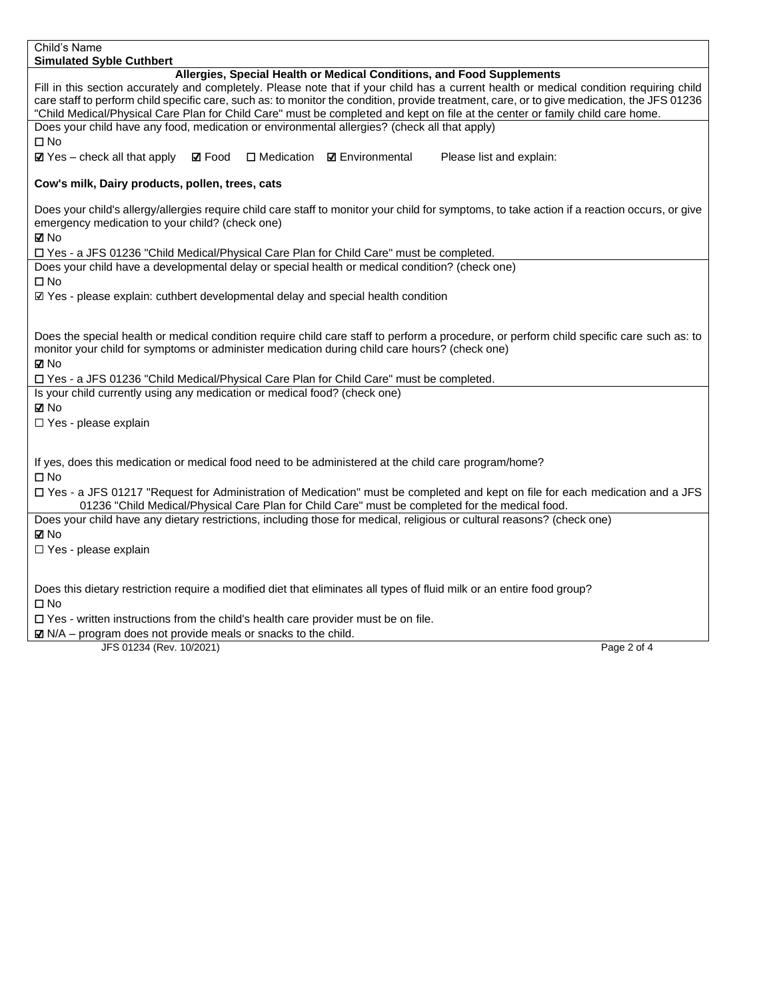| Child's Name                                                                                                                                                                                                                                                                                                                                                                                                                                                                                      |
|---------------------------------------------------------------------------------------------------------------------------------------------------------------------------------------------------------------------------------------------------------------------------------------------------------------------------------------------------------------------------------------------------------------------------------------------------------------------------------------------------|
| <b>Simulated Syble Cuthbert</b>                                                                                                                                                                                                                                                                                                                                                                                                                                                                   |
| Allergies, Special Health or Medical Conditions, and Food Supplements<br>Fill in this section accurately and completely. Please note that if your child has a current health or medical condition requiring child<br>care staff to perform child specific care, such as: to monitor the condition, provide treatment, care, or to give medication, the JFS 01236<br>"Child Medical/Physical Care Plan for Child Care" must be completed and kept on file at the center or family child care home. |
| Does your child have any food, medication or environmental allergies? (check all that apply)                                                                                                                                                                                                                                                                                                                                                                                                      |
| $\square$ No                                                                                                                                                                                                                                                                                                                                                                                                                                                                                      |
| $\Box$ Medication<br>$\boxtimes$ Yes – check all that apply<br><b>☑</b> Food<br><b>Ø</b> Environmental<br>Please list and explain:                                                                                                                                                                                                                                                                                                                                                                |
| Cow's milk, Dairy products, pollen, trees, cats                                                                                                                                                                                                                                                                                                                                                                                                                                                   |
| Does your child's allergy/allergies require child care staff to monitor your child for symptoms, to take action if a reaction occurs, or give<br>emergency medication to your child? (check one)<br>⊠ No                                                                                                                                                                                                                                                                                          |
| □ Yes - a JFS 01236 "Child Medical/Physical Care Plan for Child Care" must be completed.                                                                                                                                                                                                                                                                                                                                                                                                          |
| Does your child have a developmental delay or special health or medical condition? (check one)<br>$\square$ No                                                                                                                                                                                                                                                                                                                                                                                    |
| ☑ Yes - please explain: cuthbert developmental delay and special health condition                                                                                                                                                                                                                                                                                                                                                                                                                 |
|                                                                                                                                                                                                                                                                                                                                                                                                                                                                                                   |
| Does the special health or medical condition require child care staff to perform a procedure, or perform child specific care such as: to<br>monitor your child for symptoms or administer medication during child care hours? (check one)<br>⊠ No<br>□ Yes - a JFS 01236 "Child Medical/Physical Care Plan for Child Care" must be completed.                                                                                                                                                     |
| Is your child currently using any medication or medical food? (check one)                                                                                                                                                                                                                                                                                                                                                                                                                         |
| <b>⊠</b> No                                                                                                                                                                                                                                                                                                                                                                                                                                                                                       |
| □ Yes - please explain                                                                                                                                                                                                                                                                                                                                                                                                                                                                            |
|                                                                                                                                                                                                                                                                                                                                                                                                                                                                                                   |
| If yes, does this medication or medical food need to be administered at the child care program/home?<br>$\square$ No                                                                                                                                                                                                                                                                                                                                                                              |
| □ Yes - a JFS 01217 "Request for Administration of Medication" must be completed and kept on file for each medication and a JFS                                                                                                                                                                                                                                                                                                                                                                   |
| 01236 "Child Medical/Physical Care Plan for Child Care" must be completed for the medical food.                                                                                                                                                                                                                                                                                                                                                                                                   |
| Does your child have any dietary restrictions, including those for medical, religious or cultural reasons? (check one)                                                                                                                                                                                                                                                                                                                                                                            |
| ⊠ No                                                                                                                                                                                                                                                                                                                                                                                                                                                                                              |
| $\Box$ Yes - please explain                                                                                                                                                                                                                                                                                                                                                                                                                                                                       |
|                                                                                                                                                                                                                                                                                                                                                                                                                                                                                                   |
| Does this dietary restriction require a modified diet that eliminates all types of fluid milk or an entire food group?<br>$\square$ No                                                                                                                                                                                                                                                                                                                                                            |
| $\square$ Yes - written instructions from the child's health care provider must be on file.                                                                                                                                                                                                                                                                                                                                                                                                       |
| $\boxtimes$ N/A – program does not provide meals or snacks to the child.                                                                                                                                                                                                                                                                                                                                                                                                                          |
| JFS 01234 (Rev. 10/2021)<br>Page 2 of 4                                                                                                                                                                                                                                                                                                                                                                                                                                                           |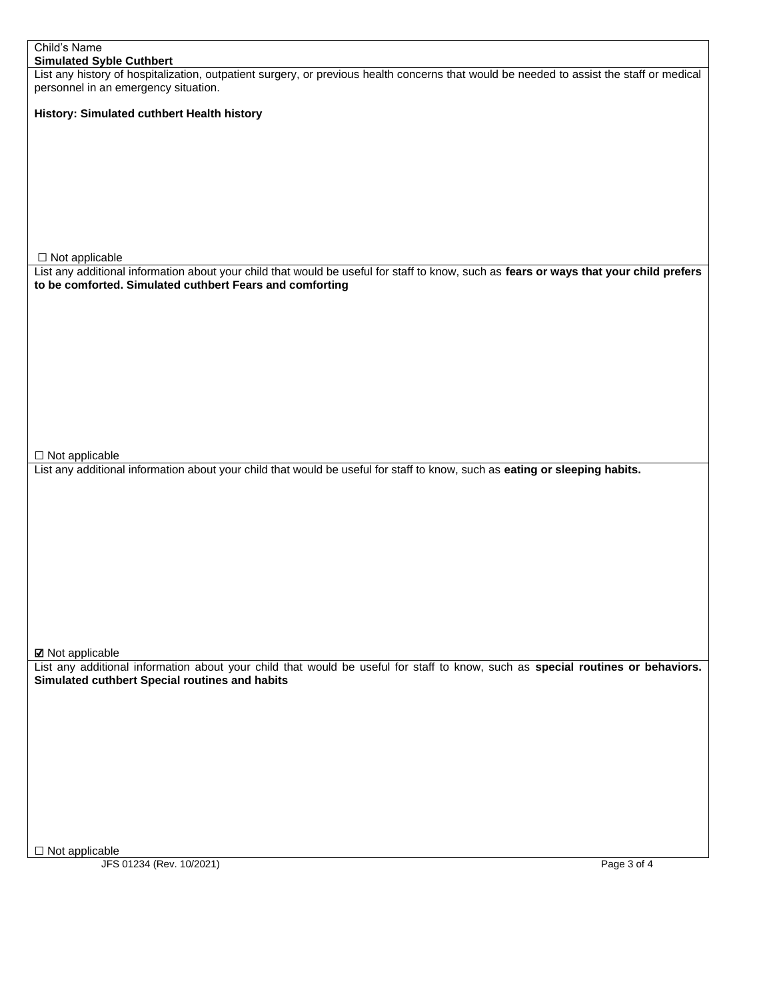| Child's Name                                                                                                                             |  |
|------------------------------------------------------------------------------------------------------------------------------------------|--|
| <b>Simulated Syble Cuthbert</b>                                                                                                          |  |
| List any history of hospitalization, outpatient surgery, or previous health concerns that would be needed to assist the staff or medical |  |
| personnel in an emergency situation.                                                                                                     |  |
|                                                                                                                                          |  |
| History: Simulated cuthbert Health history                                                                                               |  |
|                                                                                                                                          |  |
|                                                                                                                                          |  |
|                                                                                                                                          |  |
|                                                                                                                                          |  |
|                                                                                                                                          |  |
|                                                                                                                                          |  |
|                                                                                                                                          |  |
|                                                                                                                                          |  |
|                                                                                                                                          |  |
|                                                                                                                                          |  |
| $\Box$ Not applicable                                                                                                                    |  |
| List any additional information about your child that would be useful for staff to know, such as fears or ways that your child prefers   |  |
| to be comforted. Simulated cuthbert Fears and comforting                                                                                 |  |
|                                                                                                                                          |  |
|                                                                                                                                          |  |
|                                                                                                                                          |  |
|                                                                                                                                          |  |
|                                                                                                                                          |  |
|                                                                                                                                          |  |
|                                                                                                                                          |  |
|                                                                                                                                          |  |
|                                                                                                                                          |  |
|                                                                                                                                          |  |
|                                                                                                                                          |  |
|                                                                                                                                          |  |
|                                                                                                                                          |  |
| $\Box$ Not applicable                                                                                                                    |  |
| List any additional information about your child that would be useful for staff to know, such as eating or sleeping habits.              |  |
|                                                                                                                                          |  |
|                                                                                                                                          |  |
|                                                                                                                                          |  |
|                                                                                                                                          |  |
|                                                                                                                                          |  |
|                                                                                                                                          |  |
|                                                                                                                                          |  |
|                                                                                                                                          |  |
|                                                                                                                                          |  |
|                                                                                                                                          |  |
|                                                                                                                                          |  |
|                                                                                                                                          |  |
|                                                                                                                                          |  |
| <b>Ø</b> Not applicable                                                                                                                  |  |
| List any additional information about your child that would be useful for staff to know, such as special routines or behaviors.          |  |
| Simulated cuthbert Special routines and habits                                                                                           |  |
|                                                                                                                                          |  |
|                                                                                                                                          |  |
|                                                                                                                                          |  |
|                                                                                                                                          |  |
|                                                                                                                                          |  |
|                                                                                                                                          |  |
|                                                                                                                                          |  |
|                                                                                                                                          |  |
|                                                                                                                                          |  |
|                                                                                                                                          |  |
|                                                                                                                                          |  |
|                                                                                                                                          |  |
|                                                                                                                                          |  |
| $\square$ Not applicable                                                                                                                 |  |